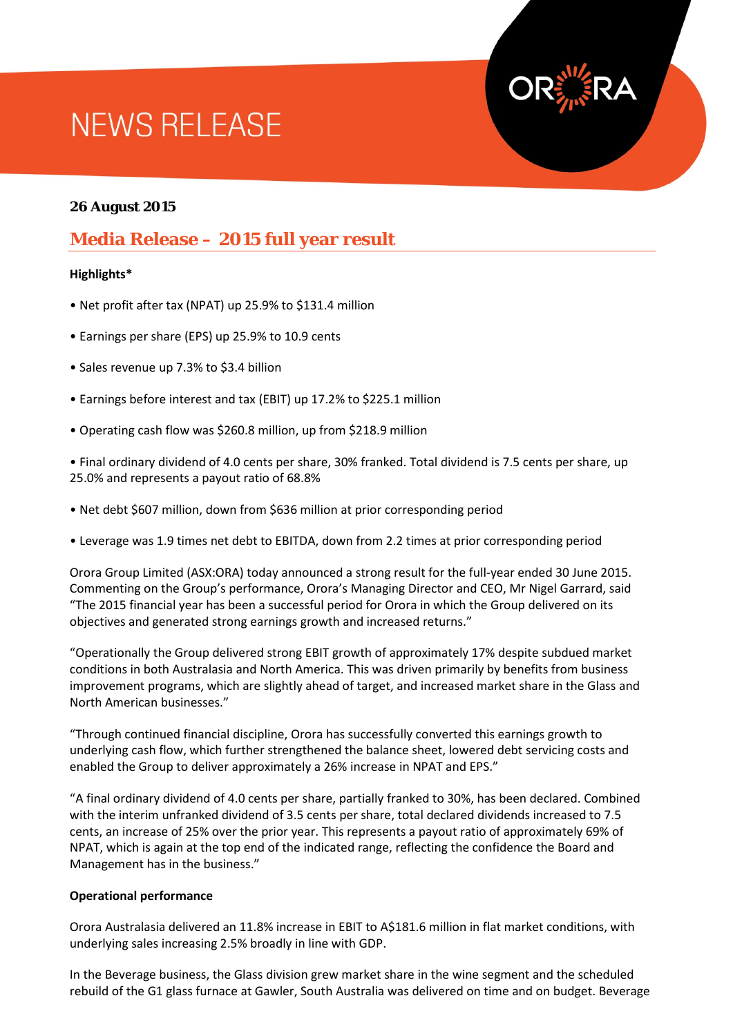# **NEWS RELEASE**

## **26 August 2015**

## **Media Release – 2015 full year result**

#### **Highlights\***

- Net profit after tax (NPAT) up 25.9% to \$131.4 million
- Earnings per share (EPS) up 25.9% to 10.9 cents
- Sales revenue up 7.3% to \$3.4 billion
- Earnings before interest and tax (EBIT) up 17.2% to \$225.1 million
- Operating cash flow was \$260.8 million, up from \$218.9 million

• Final ordinary dividend of 4.0 cents per share, 30% franked. Total dividend is 7.5 cents per share, up 25.0% and represents a payout ratio of 68.8%

- Net debt \$607 million, down from \$636 million at prior corresponding period
- Leverage was 1.9 times net debt to EBITDA, down from 2.2 times at prior corresponding period

Orora Group Limited (ASX:ORA) today announced a strong result for the full-year ended 30 June 2015. Commenting on the Group's performance, Orora's Managing Director and CEO, Mr Nigel Garrard, said "The 2015 financial year has been a successful period for Orora in which the Group delivered on its objectives and generated strong earnings growth and increased returns."

"Operationally the Group delivered strong EBIT growth of approximately 17% despite subdued market conditions in both Australasia and North America. This was driven primarily by benefits from business improvement programs, which are slightly ahead of target, and increased market share in the Glass and North American businesses."

"Through continued financial discipline, Orora has successfully converted this earnings growth to underlying cash flow, which further strengthened the balance sheet, lowered debt servicing costs and enabled the Group to deliver approximately a 26% increase in NPAT and EPS."

"A final ordinary dividend of 4.0 cents per share, partially franked to 30%, has been declared. Combined with the interim unfranked dividend of 3.5 cents per share, total declared dividends increased to 7.5 cents, an increase of 25% over the prior year. This represents a payout ratio of approximately 69% of NPAT, which is again at the top end of the indicated range, reflecting the confidence the Board and Management has in the business."

#### **Operational performance**

Orora Australasia delivered an 11.8% increase in EBIT to A\$181.6 million in flat market conditions, with underlying sales increasing 2.5% broadly in line with GDP.

In the Beverage business, the Glass division grew market share in the wine segment and the scheduled rebuild of the G1 glass furnace at Gawler, South Australia was delivered on time and on budget. Beverage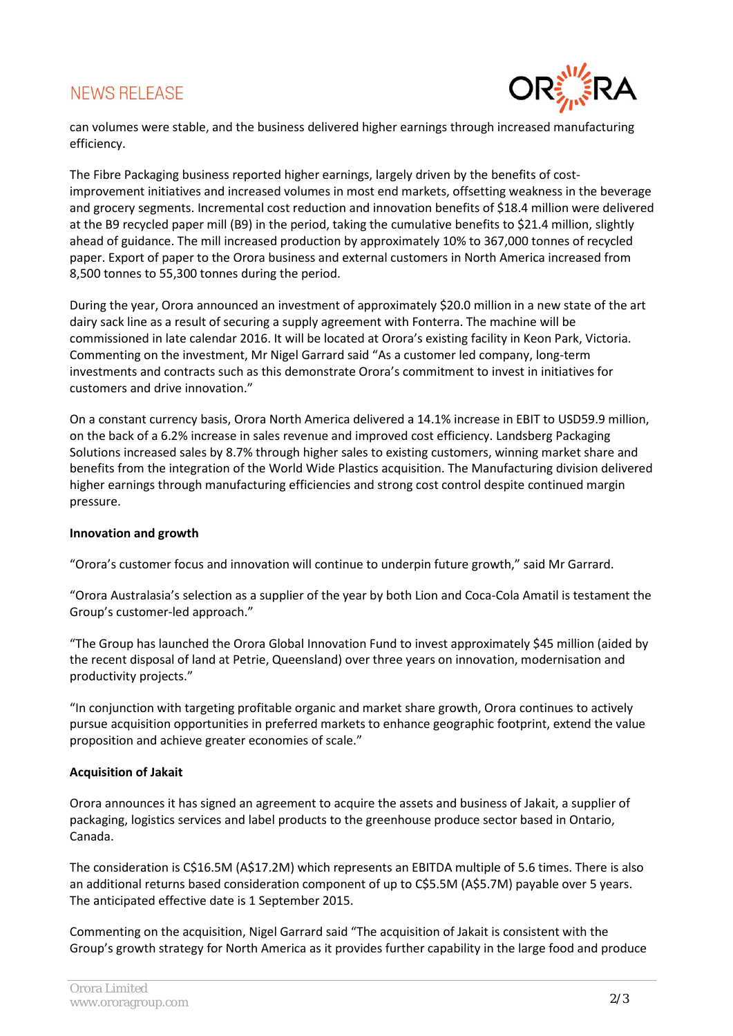# **NEWS RELEASE**



can volumes were stable, and the business delivered higher earnings through increased manufacturing efficiency.

The Fibre Packaging business reported higher earnings, largely driven by the benefits of costimprovement initiatives and increased volumes in most end markets, offsetting weakness in the beverage and grocery segments. Incremental cost reduction and innovation benefits of \$18.4 million were delivered at the B9 recycled paper mill (B9) in the period, taking the cumulative benefits to \$21.4 million, slightly ahead of guidance. The mill increased production by approximately 10% to 367,000 tonnes of recycled paper. Export of paper to the Orora business and external customers in North America increased from 8,500 tonnes to 55,300 tonnes during the period.

During the year, Orora announced an investment of approximately \$20.0 million in a new state of the art dairy sack line as a result of securing a supply agreement with Fonterra. The machine will be commissioned in late calendar 2016. It will be located at Orora's existing facility in Keon Park, Victoria. Commenting on the investment, Mr Nigel Garrard said "As a customer led company, long-term investments and contracts such as this demonstrate Orora's commitment to invest in initiatives for customers and drive innovation."

On a constant currency basis, Orora North America delivered a 14.1% increase in EBIT to USD59.9 million, on the back of a 6.2% increase in sales revenue and improved cost efficiency. Landsberg Packaging Solutions increased sales by 8.7% through higher sales to existing customers, winning market share and benefits from the integration of the World Wide Plastics acquisition. The Manufacturing division delivered higher earnings through manufacturing efficiencies and strong cost control despite continued margin pressure.

#### **Innovation and growth**

"Orora's customer focus and innovation will continue to underpin future growth," said Mr Garrard.

"Orora Australasia's selection as a supplier of the year by both Lion and Coca-Cola Amatil is testament the Group's customer-led approach."

"The Group has launched the Orora Global Innovation Fund to invest approximately \$45 million (aided by the recent disposal of land at Petrie, Queensland) over three years on innovation, modernisation and productivity projects."

"In conjunction with targeting profitable organic and market share growth, Orora continues to actively pursue acquisition opportunities in preferred markets to enhance geographic footprint, extend the value proposition and achieve greater economies of scale."

## **Acquisition of Jakait**

Orora announces it has signed an agreement to acquire the assets and business of Jakait, a supplier of packaging, logistics services and label products to the greenhouse produce sector based in Ontario, Canada.

The consideration is C\$16.5M (A\$17.2M) which represents an EBITDA multiple of 5.6 times. There is also an additional returns based consideration component of up to C\$5.5M (A\$5.7M) payable over 5 years. The anticipated effective date is 1 September 2015.

Commenting on the acquisition, Nigel Garrard said "The acquisition of Jakait is consistent with the Group's growth strategy for North America as it provides further capability in the large food and produce